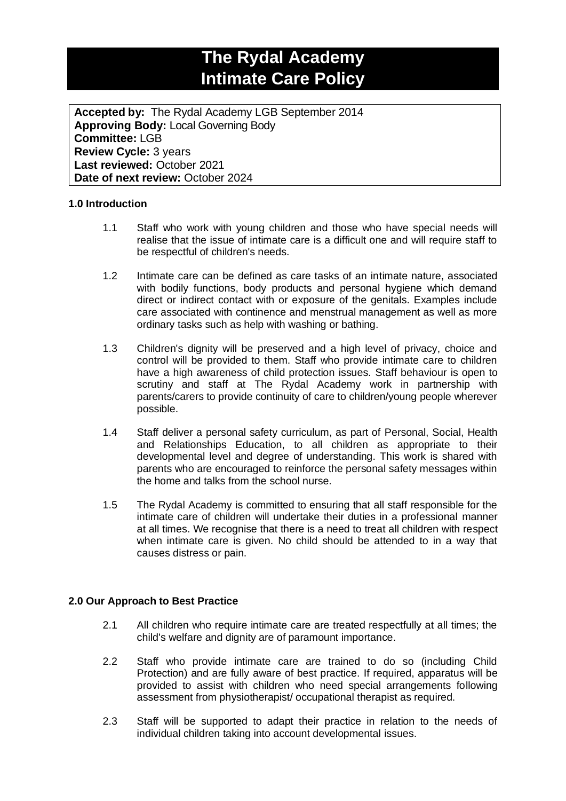## **The Rydal Academy Intimate Care Policy**

**Accepted by:** The Rydal Academy LGB September 2014 **Approving Body:** Local Governing Body **Committee:** LGB **Review Cycle:** 3 years **Last reviewed:** October 2021 **Date of next review:** October 2024

## **1.0 Introduction**

- 1.1 Staff who work with young children and those who have special needs will realise that the issue of intimate care is a difficult one and will require staff to be respectful of children's needs.
- 1.2 Intimate care can be defined as care tasks of an intimate nature, associated with bodily functions, body products and personal hygiene which demand direct or indirect contact with or exposure of the genitals. Examples include care associated with continence and menstrual management as well as more ordinary tasks such as help with washing or bathing.
- 1.3 Children's dignity will be preserved and a high level of privacy, choice and control will be provided to them. Staff who provide intimate care to children have a high awareness of child protection issues. Staff behaviour is open to scrutiny and staff at The Rydal Academy work in partnership with parents/carers to provide continuity of care to children/young people wherever possible.
- 1.4 Staff deliver a personal safety curriculum, as part of Personal, Social, Health and Relationships Education, to all children as appropriate to their developmental level and degree of understanding. This work is shared with parents who are encouraged to reinforce the personal safety messages within the home and talks from the school nurse.
- 1.5 The Rydal Academy is committed to ensuring that all staff responsible for the intimate care of children will undertake their duties in a professional manner at all times. We recognise that there is a need to treat all children with respect when intimate care is given. No child should be attended to in a way that causes distress or pain.

## **2.0 Our Approach to Best Practice**

- 2.1 All children who require intimate care are treated respectfully at all times; the child's welfare and dignity are of paramount importance.
- 2.2 Staff who provide intimate care are trained to do so (including Child Protection) and are fully aware of best practice. If required, apparatus will be provided to assist with children who need special arrangements following assessment from physiotherapist/ occupational therapist as required.
- 2.3 Staff will be supported to adapt their practice in relation to the needs of individual children taking into account developmental issues.